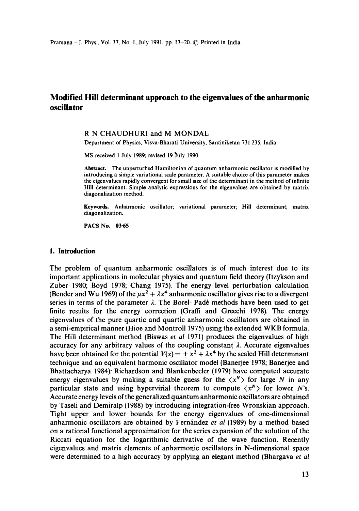# **Modified Hill determinant approach to the eigenvalues of the anharmonic oscillator**

## R N CHAUDHURI and M MONDAL

Department of Physics, Visva-Bharati University, Santiniketan 731 235, India

MS received 1 July 1989; revised 19 July 1990

**Abstract.** The unperturbed Hamiltonian of quantum anharmonic oscillator is modified by introducing a simple variational scale parameter. A suitable choice of this parameter makes the eigenvalues rapidly convergent for small size of the determinant in the method of infinite Hill determinant. Simple analytic expressions for the eigenvalues are obtained by matrix diagonalization method.

Keywords. Anharmonic oscillator; variational parameter; Hill determinant; matrix diagonalization.

PACS No. 03.65

#### **l. Introduction**

The problem of quantum anharmonic oscillators is of much interest due to its important applications in molecular physics and quantum field theory (Itzykson and Zuber 1980; Boyd 1978; Chang 1975). The energy level perturbation calculation (Bender and Wu 1969) of the  $\mu x^2 + \lambda x^4$  anharmonic oscillator gives rise to a divergent series in terms of the parameter  $\lambda$ . The Borel-Padé methods have been used to get finite results for the energy correction (Graffi and Greechi 1978). The energy eigenvalues of the pure quartic and quartic anharmonic oscillators are obtained in a semi-empirical manner (Hioe and Montroll 1975) using the extended WKB formula. The Hill determinant method (Biswas *et al* 1971) produces the eigenvalues of high accuracy for any arbitrary values of the coupling constant  $\lambda$ . Accurate eigenvalues have been obtained for the potential  $V(x) = \pm x^2 + \lambda x^4$  by the scaled Hill determinant technique and an equivalent harmonic oscillator model (Banerjee 1978; Banerjee and Bhattacharya 1984): Richardson and Blankenbecler (1979) have computed accurate energy eigenvalues by making a suitable guess for the  $\langle x^N \rangle$  for large N in any particular state and using hypervirial theorem to compute  $\langle x^N \rangle$  for lower N's. Accurate energy levels of the generalized quantum anharmonic oscillators are obtained by Taseli and Demiralp (1988) by introducing integration-free Wronskian approach. Tight upper and lower bounds for the energy eigenvalues of one-dimensional anharmonic oscillators are obtained by Fernández *et al* (1989) by a method based on a rational functional approximation for the series expansion of the solution of the Riccati equation for the logarithmic derivative of the wave function. Recently eigenvalues and matrix elements of anharmonic oscillators in N-dimensional space were determined to a high accuracy by applying an elegant method (Bhargava *et al*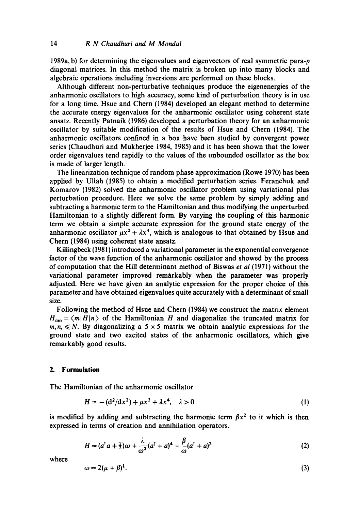1989a, b) for determining the eigenvalues and eigenvectors of real symmetric para-p diagonal matrices. In this method the matrix is broken up into many blocks and algebraic operations including inversions are performed on these blocks.

Although different non-perturbative techniques produce the eigenenergies of the anharmonic oscillators to high accuracy, some kind of perturbation theory is in use for a long time. Hsue and Chern (1984) developed an elegant method to determine the accurate energy eigenvalues for the anharmonic oscillator using coherent state ansatz. Recently Patnaik (1986) developed a perturbation theory for an anharmonic oscillator by suitable modification of the results of Hsue and Chern (1984). The anharmonic oscillators confined in a box have been studied by convergent power series (Chaudhuri and Mukherjee 1984, 1985) and it has been shown that the lower order eigenvalues tend rapidly to the values of the unbounded oscillator as the box is made of larger length.

The linearization technique of random phase approximation (Rowe 1970) has been applied by Ullah (1985) to obtain a modified perturbation series. Feranchuk and Komarov (1982) solved the anharmonic oscillator problem using variational plus perturbation procedure. Here we solve the same problem by simply adding and subtracting a harmonic term to the Hamiltonian and thus modifying the unperturbed Hamiltonian to a slightly different form. By varying the coupling of this harmonic term we obtain a simple accurate expression for the ground state energy of the anharmonic oscillator  $\mu x^2 + \lambda x^4$ , which is analogous to that obtained by Hsue and Chern (1984) using coherent state ansatz.

Killingbeck (1981) introduced a variational parameter in the exponential convergence factor of the wave function of the anharmonic oscillator and showed by the process of computation that the Hill determinant method of Biswas *et al* (1971) without the variational parameter improved remarkably when the parameter was properly adjusted. Here we have given an analytic expression for the proper choice of this parameter and have obtained eigenvalues quite accurately with a determinant of small size.

Following the method of Hsue and Chern (1984) we construct the matrix element  $H_{mn} = \langle m|H|n \rangle$  of the Hamiltonian H and diagonalize the truncated matrix for  $m, n, \leq N$ . By diagonalizing a 5 × 5 matrix we obtain analytic expressions for the ground state and two excited stales of the anharmonic oscillators, which give remarkably good results.

## **2. Formulation**

The Hamiltonian of the anharmonic oscillator

$$
H = -(d^2/dx^2) + \mu x^2 + \lambda x^4, \quad \lambda > 0 \tag{1}
$$

is modified by adding and subtracting the harmonic term  $\beta x^2$  to it which is then expressed in terms of creation and annihilation operators.

$$
H = (a^{\dagger} a + \frac{1}{2})\omega + \frac{\lambda}{\omega^2} (a^{\dagger} + a)^4 - \frac{\beta}{\omega} (a^{\dagger} + a)^2
$$
 (2)

where

$$
\omega = 2(\mu + \beta)^{\frac{1}{2}}.\tag{3}
$$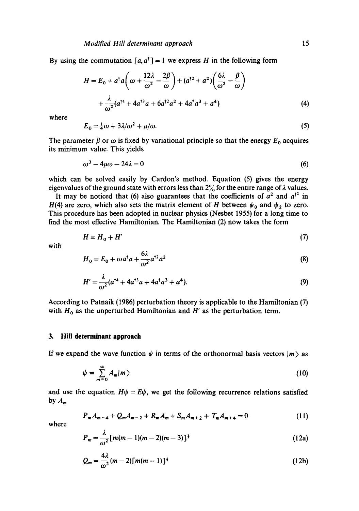By using the commutation  $[a, a^{\dagger}] = 1$  we express H in the following form

$$
H = E_0 + a^\dagger a \left( \omega + \frac{12\lambda}{\omega^2} - \frac{2\beta}{\omega} \right) + (a^{\dagger 2} + a^2) \left( \frac{6\lambda}{\omega^2} - \frac{\beta}{\omega} \right)
$$

$$
+ \frac{\lambda}{\omega^2} (a^{\dagger 4} + 4a^{\dagger 3} a + 6a^{\dagger 2} a^2 + 4a^\dagger a^3 + a^4)
$$
(4)

where

$$
E_0 = \frac{1}{4}\omega + 3\lambda/\omega^2 + \mu/\omega. \tag{5}
$$

The parameter  $\beta$  or  $\omega$  is fixed by variational principle so that the energy  $E_0$  acquires its minimum value. This yields

$$
\omega^3 - 4\mu\omega - 24\lambda = 0\tag{6}
$$

which can be solved easily by Cardon's method. Equation (5) gives the energy eigenvalues of the ground state with errors less than  $2\frac{9}{6}$  for the entire range of  $\lambda$  values.

It may be noticed that (6) also guarantees that the coefficients of  $a^2$  and  $a^{\dagger 2}$  in H(4) are zero, which also sets the matrix element of H between  $\psi_0$  and  $\psi_2$  to zero. This procedure has been adopted in nuclear physics (Nesbet 1955) for a long time to find the most effective Hamiltonian. The Hamiltonian (2) now takes the form

$$
H = H_0 + H'
$$
 (7)

with

$$
H_0 = E_0 + \omega a^\dagger a + \frac{6\lambda}{\omega^2} a^{\dagger 2} a^2 \tag{8}
$$

$$
H' = \frac{\lambda}{\omega^2} (a^{\dagger 4} + 4a^{\dagger 3} a + 4a^{\dagger} a^3 + a^4).
$$
 (9)

According to Patnaik (1986) perturbation theory is applicable to the Hamiltonian (7) with  $H_0$  as the unperturbed Hamiltonian and H' as the perturbation term.

# **3. Hill determinant approach**

If we expand the wave function  $\psi$  in terms of the orthonormal basis vectors  $|m\rangle$  as

$$
\psi = \sum_{m=0}^{\infty} A_m |m\rangle \tag{10}
$$

and use the equation  $H\psi = E\psi$ , we get the following recurrence relations satisfied by  $A_m$ 

$$
P_m A_{m-4} + Q_m A_{m-2} + R_m A_m + S_m A_{m+2} + T_m A_{m+4} = 0 \tag{11}
$$

where

$$
P_m = \frac{\lambda}{\omega^2} [m(m-1)(m-2)(m-3)]^{\frac{1}{2}}
$$
 (12a)

$$
Q_m = \frac{4\lambda}{\omega^2} (m-2) [m(m-1)]^{\frac{1}{2}}
$$
 (12b)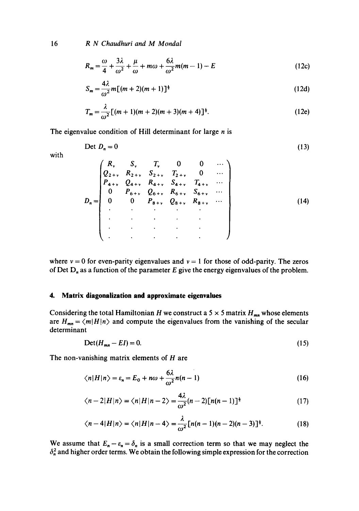16 *R N Chaudhuri and M Mondal* 

$$
R_m = \frac{\omega}{4} + \frac{3\lambda}{\omega^2} + \frac{\mu}{\omega} + m\omega + \frac{6\lambda}{\omega^2}m(m-1) - E
$$
 (12c)

$$
S_m = \frac{4\lambda}{\omega^2} m \left[ (m+2)(m+1) \right]^{\frac{1}{2}}
$$
 (12d)

$$
T_m = \frac{\lambda}{\omega^2} [(m+1)(m+2)(m+3)(m+4)]^{\frac{1}{2}}.
$$
 (12e)

The eigenvalue condition of Hill determinant for large  $n$  is

$$
\text{Det } D_n = 0 \tag{13}
$$

with

$$
D_n = \begin{pmatrix} R_v & S_v & T_v & 0 & 0 & \cdots \\ Q_{2+v} & R_{2+v} & S_{2+v} & T_{2+v} & 0 & \cdots \\ P_{4+v} & Q_{4+v} & R_{4+v} & S_{4+v} & T_{4+v} & \cdots \\ 0 & P_{6+v} & Q_{6+v} & R_{6+v} & S_{6+v} & \cdots \\ 0 & 0 & P_{8+v} & Q_{8+v} & R_{8+v} & \cdots \\ \vdots & \vdots & \vdots & \vdots & \vdots & \vdots \\ \vdots & \vdots & \vdots & \vdots & \vdots & \vdots \end{pmatrix} \tag{14}
$$

where  $v = 0$  for even-parity eigenvalues and  $v = 1$  for those of odd-parity. The zeros of Det  $D_n$  as a function of the parameter E give the energy eigenvalues of the problem.

# **4. Matrix diagonalization and approximate eigenvalues**

Considering the total Hamiltonian H we construct a 5  $\times$  5 matrix H<sub>mn</sub> whose elements are  $H_{mn} = \langle m|H|n\rangle$  and compute the eigenvalues from the vanishing of the secular determinant

$$
Det(H_{mn} - EI) = 0. \tag{15}
$$

The non-vanishing matrix elements of  $H$  are

$$
\langle n|H|n\rangle = \varepsilon_n = E_0 + n\omega + \frac{6\lambda}{\omega^2}n(n-1)
$$
 (16)

$$
\langle n-2|H|n\rangle = \langle n|H|n-2\rangle = \frac{4\lambda}{\omega^2}(n-2)[n(n-1)]^{\frac{1}{2}} \tag{17}
$$

$$
\langle n-4|H|n\rangle = \langle n|H|n-4\rangle = \frac{\lambda}{\omega^2} [n(n-1)(n-2)(n-3)]^{\frac{1}{2}}.
$$
 (18)

We assume that  $E_n - \varepsilon_n = \delta_n$  is a small correction term so that we may neglect the  $\delta_n^2$  and higher order terms. We obtain the following simple expression for the correction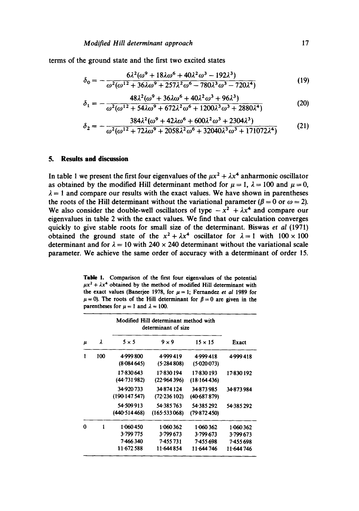terms of the ground state and the first two excited states

$$
\delta_0 = -\frac{6\lambda^2(\omega^9 + 18\lambda\omega^6 + 40\lambda^2\omega^3 - 192\lambda^3)}{\omega^2(\omega^{12} + 36\lambda\omega^9 + 257\lambda^2\omega^6 - 780\lambda^3\omega^3 - 720\lambda^4)}
$$
(19)

$$
\delta_1 = -\frac{48\lambda^2(\omega^9 + 36\lambda\omega^6 + 40\lambda^2\omega^3 + 96\lambda^3)}{\omega^2(\omega^{12} + 54\lambda\omega^9 + 672\lambda^2\omega^6 + 1200\lambda^3\omega^3 + 2880\lambda^4)}
$$
(20)

$$
\delta_2 = -\frac{384\lambda^2(\omega^9 + 42\lambda\omega^6 + 600\lambda^2\omega^3 + 2304\lambda^3)}{\omega^2(\omega^{12} + 72\lambda\omega^9 + 2058\lambda^2\omega^6 + 32040\lambda^3\omega^3 + 171072\lambda^4)}
$$
(21)

## **5. Results and discussion**

In table 1 we present the first four eigenvalues of the  $\mu x^2 + \lambda x^4$  anharmonic oscillator as obtained by the modified Hill determinant method for  $\mu = 1$ ,  $\lambda = 100$  and  $\mu = 0$ ,  $\lambda = 1$  and compare our results with the exact values. We have shown in parentheses the roots of the Hill determinant without the variational parameter ( $\beta = 0$  or  $\omega = 2$ ). We also consider the double-well oscillators of type  $-x^2 + \lambda x^4$  and compare our eigenvalues in table 2 with the exact values. We find that our calculation converges quickly to give stable roots for small size of the determinant. Biswas *et al* (1971) obtained the ground state of the  $x^2 + \lambda x^4$  oscillator for  $\lambda = 1$  with  $100 \times 100$ determinant and for  $\lambda = 10$  with 240 x 240 determinant without the variational scale parameter. We achieve the same order of accuracy with a determinant of order 15.

Table 1. Comparison of the first four eigenvalues of the potential  $\mu x^2 + \lambda x^4$  obtained by the method of modified Hill determinant with the exact values (Banerjee 1978, for  $\mu = 1$ ; Fernandez *et al 1989* for  $\mu = 0$ ). The roots of the Hill determinant for  $\beta = 0$  are given in the parentheses for  $\mu = 1$  and  $\lambda = 100$ .

|       | λ   | Modified Hill determinant method with<br>determinant of size |              |                |            |
|-------|-----|--------------------------------------------------------------|--------------|----------------|------------|
| $\mu$ |     | $5 \times 5$                                                 | $9 \times 9$ | $15 \times 15$ | Exact      |
| 1     | 100 | 4.999 800                                                    | 4.999419     | 4.999418       | 4.999418   |
|       |     | (8.084645)                                                   | (5.284808)   | (5.020073)     |            |
|       |     | 17-830 643                                                   | 17.830 194   | 17-830 193     | 17.830 192 |
|       |     | (44.731982)                                                  | (22.964396)  | (18.164436)    |            |
|       |     | 34.920.733                                                   | 34.874 124   | 34-873985      | 34.873984  |
|       |     | (190.147.547)                                                | (72.236102)  | $(40-687879)$  |            |
|       |     | 54 509 913                                                   | 54.385.763   | 54.385292      | 54.385292  |
|       |     | (440.514468)                                                 | (165.533068) | (79.872450)    |            |
| 0     | 1   | 1.060450                                                     | 1.060362     | 1.060362       | 1 060 362  |
|       |     | 3.799 775                                                    | 3.799.673    | 3.799 673      | 3.799673   |
|       |     | 7.466340                                                     | 7-455 731    | 7-455 698      | 7-455 698  |
|       |     | 11.672.588                                                   | 11.644854    | 11-644 746     | 11.644 746 |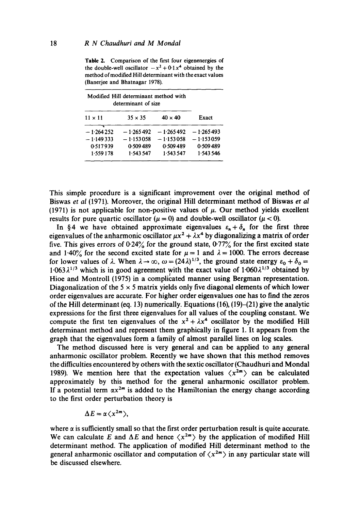**Table** 2. Comparison of the first four eigenenergies of the double-well oscillator  $-x^2 + 0.1x^4$  obtained by the method of modified Hill determinant with the exact values (Banerjee and Bhatnagar 1978).

| Modified Hill determinant method with<br>determinant of size |                |                |             |
|--------------------------------------------------------------|----------------|----------------|-------------|
| $11 \times 11$                                               | $35 \times 35$ | $40 \times 40$ | Exact       |
| $-1.264252$                                                  | $-1.265492$    | $-1.265492$    | $-1.265493$ |
| $-1.149333$                                                  | $-1.153058$    | $-1.153058$    | $-1.153059$ |
| 0.517939                                                     | 0.509489       | 0.509489       | 0.509489    |
| 1.559178                                                     | 1.543.547      | 1.543547       | 1.543546    |

This simple procedure is a significant improvement over the original method of Biswas *et al* (1971). Moreover, the original Hill determinant method of Biswas *et al*  (1971) is not applicable for non-positive values of  $\mu$ . Our method yields excellent results for pure quartic oscillator ( $\mu = 0$ ) and double-well oscillator ( $\mu < 0$ ).

In §4 we have obtained approximate eigenvalues  $\varepsilon_n + \delta_n$  for the first three eigenvalues of the anharmonic oscillator  $\mu x^2 + \lambda x^4$  by diagonalizing a matrix of order five. This gives errors of  $0.24\%$  for the ground state,  $0.77\%$  for the first excited state and 1.40% for the second excited state for  $\mu = 1$  and  $\lambda = 1000$ . The errors decrease for lower values of  $\lambda$ . When  $\lambda \to \infty$ ,  $\omega = (24\lambda)^{1/3}$ , the ground state energy  $\varepsilon_0 + \delta_0 =$  $1.063\lambda^{1/3}$  which is in good agreement with the exact value of  $1.060\lambda^{1/3}$  obtained by Hioe and Montroll (1975) in a complicated manner using Bergman representation. Diagonalization of the  $5 \times 5$  matrix yields only five diagonal elements of which lower order eigenvalues are accurate. For higher order eigenvalues one has to find the zeros of the Hill determinant (eq. 13) numerically. Equations (16),  $(19)$ – $(21)$  give the analytic expressions for the first three eigenvalues for all values of the coupling constant. We compute the first ten eigenvalues of the  $x^2 + \lambda x^4$  oscillator by the modified Hill determinant method and represent them graphically in figure 1. It appears from the graph that the eigenvalues form a family of almost parallel lines on log scales.

The method discussed here is very general and can be applied to any general anharmonic oscillator problem. Recently we have shown that this method removes the difficulties encountered by others with the sextic oscillator (Chaudhuri and Mondal 1989). We mention here that the expectation values  $\langle x^{2m} \rangle$  can be calculated approximately by this method for the general anharmonic oscillator problem. If a potential term  $\alpha x^{2m}$  is added to the Hamiltonian the energy change according to the first order perturbation theory is

$$
\Delta E = \alpha \langle x^{2m} \rangle,
$$

where  $\alpha$  is sufficiently small so that the first order perturbation result is quite accurate. We can calculate E and  $\Delta E$  and hence  $\langle x^{2m} \rangle$  by the application of modified Hill determinant method. The application of modified Hill determinant method to the general anharmonic oscillator and computation of  $\langle x^{2m} \rangle$  in any particular state will be discussed elsewhere.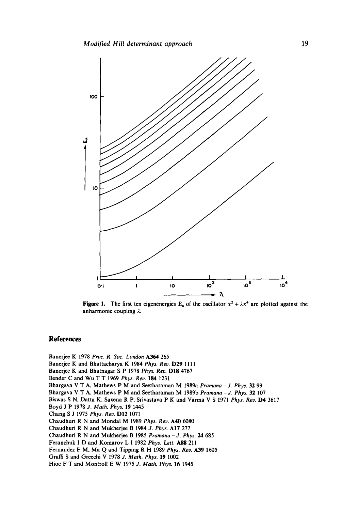

**Figure 1.** The first ten eigenenergies  $E_n$  of the oscillator  $x^2 + \lambda x^4$  are plotted against the anharmonic coupling  $\lambda$ .

#### **References**

Banerjee K 1978 *Proc. R. Soc. London* A364 265 Banerjce K and Bhattacharya K 1984 *Phys. Rev.* D29 1111 Banerjee K and Bhatnagar S P 1978 *Phys. Rev.* D18 4767 Bender C and Wu T T 1969 *Phys. Rev.* 184 1231 Bhargava V T A, Mathews P M and Scetharaman M 1989a *Pramana - J. Phys.* 32 99 Bhargava V T A, Mathews P M and Seetharaman M 1989b *Pramana - J. Phys.* 32 107 Biswas S N, Datta K, Saxena R P, Srivastava P K and Varma V S 1971 *Phys. Rev.* D4 3617 Boyd J P 1978 *d. Math. Phys.* 19 1445 Chang S J 1975 *Phys. Rev.* D12 1071 Chaudhuri R N and Mondal M 1989 *Phys. Rev.* A40 6080 Chaudhuri R N and Mukhcrjce B 1984 *J. Phys.* AI7 277 Chaudhuri R N and Mukhcrjee B 1985 *Pramana - J. Phys. 24* 685 Feranchuk I D and Komarov L I 1982 *Phys. Lett.* A88 211 Fernandez F M, Ma Q and Tipping R H 1989 *Phys. Rev.* A39 1605 Graffi S and Grecchi V 1978 *J. Math. Phys.* 19 1002 Hioe F T and Montroll E W 1975 *J. Math. Phys.* 16 1945